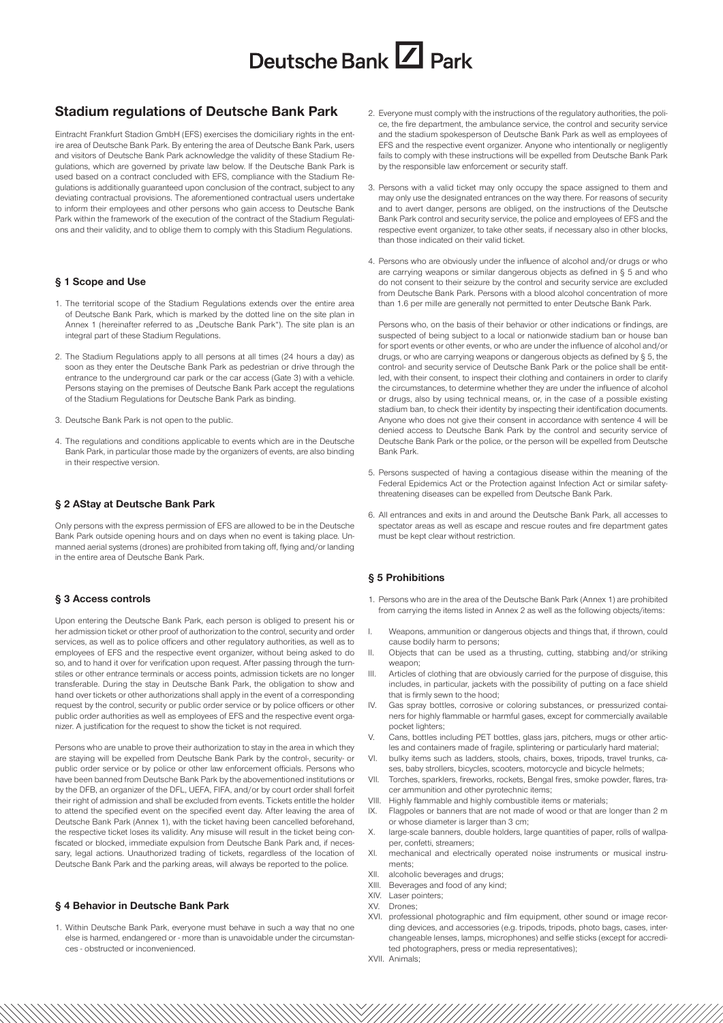## **Stadium regulations of Deutsche Bank Park**

Eintracht Frankfurt Stadion GmbH (EFS) exercises the domiciliary rights in the entire area of Deutsche Bank Park. By entering the area of Deutsche Bank Park, users and visitors of Deutsche Bank Park acknowledge the validity of these Stadium Regulations, which are governed by private law below. If the Deutsche Bank Park is used based on a contract concluded with EFS, compliance with the Stadium Regulations is additionally guaranteed upon conclusion of the contract, subject to any deviating contractual provisions. The aforementioned contractual users undertake to inform their employees and other persons who gain access to Deutsche Bank Park within the framework of the execution of the contract of the Stadium Regulations and their validity, and to oblige them to comply with this Stadium Regulations.

#### **§ 1 Scope and Use**

- 1. The territorial scope of the Stadium Regulations extends over the entire area of Deutsche Bank Park, which is marked by the dotted line on the site plan in Annex 1 (hereinafter referred to as "Deutsche Bank Park"). The site plan is an integral part of these Stadium Regulations.
- 2. The Stadium Regulations apply to all persons at all times (24 hours a day) as soon as they enter the Deutsche Bank Park as pedestrian or drive through the entrance to the underground car park or the car access (Gate 3) with a vehicle. Persons staying on the premises of Deutsche Bank Park accept the regulations of the Stadium Regulations for Deutsche Bank Park as binding.
- 3. Deutsche Bank Park is not open to the public.
- 4. The regulations and conditions applicable to events which are in the Deutsche Bank Park, in particular those made by the organizers of events, are also binding in their respective version.

#### **§ 2 AStay at Deutsche Bank Park**

Only persons with the express permission of EFS are allowed to be in the Deutsche Bank Park outside opening hours and on days when no event is taking place. Unmanned aerial systems (drones) are prohibited from taking off, flying and/or landing in the entire area of Deutsche Bank Park.

#### **§ 3 Access controls**

Upon entering the Deutsche Bank Park, each person is obliged to present his or her admission ticket or other proof of authorization to the control, security and order services, as well as to police officers and other regulatory authorities, as well as to employees of EFS and the respective event organizer, without being asked to do so, and to hand it over for verification upon request. After passing through the turnstiles or other entrance terminals or access points, admission tickets are no longer transferable. During the stay in Deutsche Bank Park, the obligation to show and hand over tickets or other authorizations shall apply in the event of a corresponding request by the control, security or public order service or by police officers or other public order authorities as well as employees of EFS and the respective event organizer. A justification for the request to show the ticket is not required.

Persons who are unable to prove their authorization to stay in the area in which they are staying will be expelled from Deutsche Bank Park by the control-, security- or public order service or by police or other law enforcement officials. Persons who have been banned from Deutsche Bank Park by the abovementioned institutions or by the DFB, an organizer of the DFL, UEFA, FIFA, and/or by court order shall forfeit their right of admission and shall be excluded from events. Tickets entitle the holder to attend the specified event on the specified event day. After leaving the area of Deutsche Bank Park (Annex 1), with the ticket having been cancelled beforehand, the respective ticket loses its validity. Any misuse will result in the ticket being confiscated or blocked, immediate expulsion from Deutsche Bank Park and, if necessary, legal actions. Unauthorized trading of tickets, regardless of the location of Deutsche Bank Park and the parking areas, will always be reported to the police.

#### **§ 4 Behavior in Deutsche Bank Park**

1. Within Deutsche Bank Park, everyone must behave in such a way that no one else is harmed, endangered or - more than is unavoidable under the circumstances - obstructed or inconvenienced.

- 2. Everyone must comply with the instructions of the regulatory authorities, the police, the fire department, the ambulance service, the control and security service and the stadium spokesperson of Deutsche Bank Park as well as employees of EFS and the respective event organizer. Anyone who intentionally or negligently fails to comply with these instructions will be expelled from Deutsche Bank Park by the responsible law enforcement or security staff.
- 3. Persons with a valid ticket may only occupy the space assigned to them and may only use the designated entrances on the way there. For reasons of security and to avert danger, persons are obliged, on the instructions of the Deutsche Bank Park control and security service, the police and employees of EFS and the respective event organizer, to take other seats, if necessary also in other blocks, than those indicated on their valid ticket.
- 4. Persons who are obviously under the influence of alcohol and/or drugs or who are carrying weapons or similar dangerous objects as defined in § 5 and who do not consent to their seizure by the control and security service are excluded from Deutsche Bank Park. Persons with a blood alcohol concentration of more than 1.6 per mille are generally not permitted to enter Deutsche Bank Park.

Persons who, on the basis of their behavior or other indications or findings, are suspected of being subject to a local or nationwide stadium ban or house ban for sport events or other events, or who are under the influence of alcohol and/or drugs, or who are carrying weapons or dangerous objects as defined by § 5, the control- and security service of Deutsche Bank Park or the police shall be entitled, with their consent, to inspect their clothing and containers in order to clarify the circumstances, to determine whether they are under the influence of alcohol or drugs, also by using technical means, or, in the case of a possible existing stadium ban, to check their identity by inspecting their identification documents. Anyone who does not give their consent in accordance with sentence 4 will be denied access to Deutsche Bank Park by the control and security service of Deutsche Bank Park or the police, or the person will be expelled from Deutsche Bank Park.

- 5. Persons suspected of having a contagious disease within the meaning of the Federal Epidemics Act or the Protection against Infection Act or similar safetythreatening diseases can be expelled from Deutsche Bank Park.
- 6. All entrances and exits in and around the Deutsche Bank Park, all accesses to spectator areas as well as escape and rescue routes and fire department gates must be kept clear without restriction.

## **§ 5 Prohibitions**

- 1. Persons who are in the area of the Deutsche Bank Park (Annex 1) are prohibited from carrying the items listed in Annex 2 as well as the following objects/items:
- Weapons, ammunition or dangerous objects and things that, if thrown, could cause bodily harm to persons;
- II. Objects that can be used as a thrusting, cutting, stabbing and/or striking weapon:
- III. Articles of clothing that are obviously carried for the purpose of disguise, this includes, in particular, jackets with the possibility of putting on a face shield that is firmly sewn to the hood;
- IV. Gas spray bottles, corrosive or coloring substances, or pressurized containers for highly flammable or harmful gases, except for commercially available pocket lighters;
- V. Cans, bottles including PET bottles, glass jars, pitchers, mugs or other articles and containers made of fragile, splintering or particularly hard material;
- VI. bulky items such as ladders, stools, chairs, boxes, tripods, travel trunks, cases, baby strollers, bicycles, scooters, motorcycle and bicycle helmets;
- VII. Torches, sparklers, fireworks, rockets, Bengal fires, smoke powder, flares, tracer ammunition and other pyrotechnic items;
- VIII. Highly flammable and highly combustible items or materials;
- IX. Flagpoles or banners that are not made of wood or that are longer than 2 m or whose diameter is larger than 3 cm;
- X. large-scale banners, double holders, large quantities of paper, rolls of wallpaper, confetti, streamers;
- XI. mechanical and electrically operated noise instruments or musical instruments;
- XII. alcoholic beverages and drugs;
- XIII. Beverages and food of any kind;
- XIV. Laser pointers;
- XV. Drones;
- XVI. professional photographic and film equipment, other sound or image recording devices, and accessories (e.g. tripods, tripods, photo bags, cases, interchangeable lenses, lamps, microphones) and selfie sticks (except for accredited photographers, press or media representatives);
- XVII. Animals;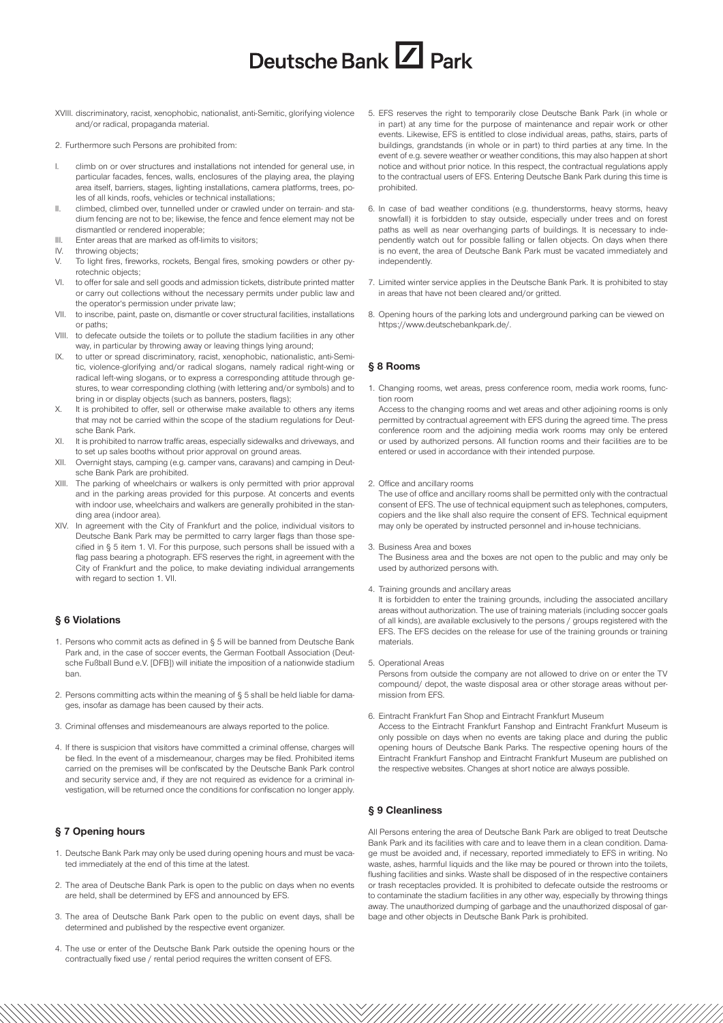- XVIII. discriminatory, racist, xenophobic, nationalist, anti-Semitic, glorifying violence and/or radical, propaganda material.
- 2. Furthermore such Persons are prohibited from:
- climb on or over structures and installations not intended for general use, in particular facades, fences, walls, enclosures of the playing area, the playing area itself, barriers, stages, lighting installations, camera platforms, trees, poles of all kinds, roofs, vehicles or technical installations;
- II. climbed, climbed over, tunnelled under or crawled under on terrain- and stadium fencing are not to be; likewise, the fence and fence element may not be dismantled or rendered inoperable;
- III. Enter areas that are marked as off-limits to visitors;
- IV. throwing objects;
- V. To light fires, fireworks, rockets, Bengal fires, smoking powders or other pyrotechnic objects;
- VI. to offer for sale and sell goods and admission tickets, distribute printed matter or carry out collections without the necessary permits under public law and the operator's permission under private law;
- VII. to inscribe, paint, paste on, dismantle or cover structural facilities, installations or paths;
- VIII. to defecate outside the toilets or to pollute the stadium facilities in any other way, in particular by throwing away or leaving things lying around;
- IX. to utter or spread discriminatory, racist, xenophobic, nationalistic, anti-Semitic, violence-glorifying and/or radical slogans, namely radical right-wing or radical left-wing slogans, or to express a corresponding attitude through gestures, to wear corresponding clothing (with lettering and/or symbols) and to bring in or display objects (such as banners, posters, flags);
- X. It is prohibited to offer, sell or otherwise make available to others any items that may not be carried within the scope of the stadium regulations for Deutsche Bank Park.
- XI. It is prohibited to narrow traffic areas, especially sidewalks and driveways, and to set up sales booths without prior approval on ground areas.
- XII. Overnight stays, camping (e.g. camper vans, caravans) and camping in Deutsche Bank Park are prohibited.
- XIII. The parking of wheelchairs or walkers is only permitted with prior approval and in the parking areas provided for this purpose. At concerts and events with indoor use, wheelchairs and walkers are generally prohibited in the standing area (indoor area).
- XIV. In agreement with the City of Frankfurt and the police, individual visitors to Deutsche Bank Park may be permitted to carry larger flags than those specified in § 5 item 1. VI. For this purpose, such persons shall be issued with a flag pass bearing a photograph. EFS reserves the right, in agreement with the City of Frankfurt and the police, to make deviating individual arrangements with regard to section 1. VII.

## **§ 6 Violations**

- 1. Persons who commit acts as defined in § 5 will be banned from Deutsche Bank Park and, in the case of soccer events, the German Football Association (Deutsche Fußball Bund e.V. [DFB]) will initiate the imposition of a nationwide stadium ban.
- 2. Persons committing acts within the meaning of § 5 shall be held liable for damages, insofar as damage has been caused by their acts.
- 3. Criminal offenses and misdemeanours are always reported to the police.
- 4. If there is suspicion that visitors have committed a criminal offense, charges will be filed. In the event of a misdemeanour, charges may be filed. Prohibited items carried on the premises will be confiscated by the Deutsche Bank Park control and security service and, if they are not required as evidence for a criminal investigation, will be returned once the conditions for confiscation no longer apply.

## **§ 7 Opening hours**

- 1. Deutsche Bank Park may only be used during opening hours and must be vacated immediately at the end of this time at the latest.
- 2. The area of Deutsche Bank Park is open to the public on days when no events are held, shall be determined by EFS and announced by EFS.
- 3. The area of Deutsche Bank Park open to the public on event days, shall be determined and published by the respective event organizer.
- 4. The use or enter of the Deutsche Bank Park outside the opening hours or the contractually fixed use / rental period requires the written consent of EFS.
- 5. EFS reserves the right to temporarily close Deutsche Bank Park (in whole or in part) at any time for the purpose of maintenance and repair work or other events. Likewise, EFS is entitled to close individual areas, paths, stairs, parts of buildings, grandstands (in whole or in part) to third parties at any time. In the event of e.g. severe weather or weather conditions, this may also happen at short notice and without prior notice. In this respect, the contractual regulations apply to the contractual users of EFS. Entering Deutsche Bank Park during this time is prohibited.
- 6. In case of bad weather conditions (e.g. thunderstorms, heavy storms, heavy snowfall) it is forbidden to stay outside, especially under trees and on forest paths as well as near overhanging parts of buildings. It is necessary to independently watch out for possible falling or fallen objects. On days when there is no event, the area of Deutsche Bank Park must be vacated immediately and independently.
- 7. Limited winter service applies in the Deutsche Bank Park. It is prohibited to stay in areas that have not been cleared and/or gritted.
- 8. Opening hours of the parking lots and underground parking can be viewed on https://www.deutschebankpark.de/.

## **§ 8 Rooms**

1. Changing rooms, wet areas, press conference room, media work rooms, function room

Access to the changing rooms and wet areas and other adjoining rooms is only permitted by contractual agreement with EFS during the agreed time. The press conference room and the adjoining media work rooms may only be entered or used by authorized persons. All function rooms and their facilities are to be entered or used in accordance with their intended purpose.

2. Office and ancillary rooms

The use of office and ancillary rooms shall be permitted only with the contractual consent of EFS. The use of technical equipment such as telephones, computers, copiers and the like shall also require the consent of EFS. Technical equipment may only be operated by instructed personnel and in-house technicians.

3. Business Area and boxes

The Business area and the boxes are not open to the public and may only be used by authorized persons with.

4. Training grounds and ancillary areas

It is forbidden to enter the training grounds, including the associated ancillary areas without authorization. The use of training materials (including soccer goals of all kinds), are available exclusively to the persons / groups registered with the EFS. The EFS decides on the release for use of the training grounds or training materials.

5. Operational Areas

Persons from outside the company are not allowed to drive on or enter the TV compound/ depot, the waste disposal area or other storage areas without permission from EFS.

6. Eintracht Frankfurt Fan Shop and Eintracht Frankfurt Museum

Access to the Eintracht Frankfurt Fanshop and Eintracht Frankfurt Museum is only possible on days when no events are taking place and during the public opening hours of Deutsche Bank Parks. The respective opening hours of the Eintracht Frankfurt Fanshop and Eintracht Frankfurt Museum are published on the respective websites. Changes at short notice are always possible.

#### **§ 9 Cleanliness**

All Persons entering the area of Deutsche Bank Park are obliged to treat Deutsche Bank Park and its facilities with care and to leave them in a clean condition. Damage must be avoided and, if necessary, reported immediately to EFS in writing. No waste, ashes, harmful liquids and the like may be poured or thrown into the toilets, flushing facilities and sinks. Waste shall be disposed of in the respective containers or trash receptacles provided. It is prohibited to defecate outside the restrooms or to contaminate the stadium facilities in any other way, especially by throwing things away. The unauthorized dumping of garbage and the unauthorized disposal of garbage and other objects in Deutsche Bank Park is prohibited.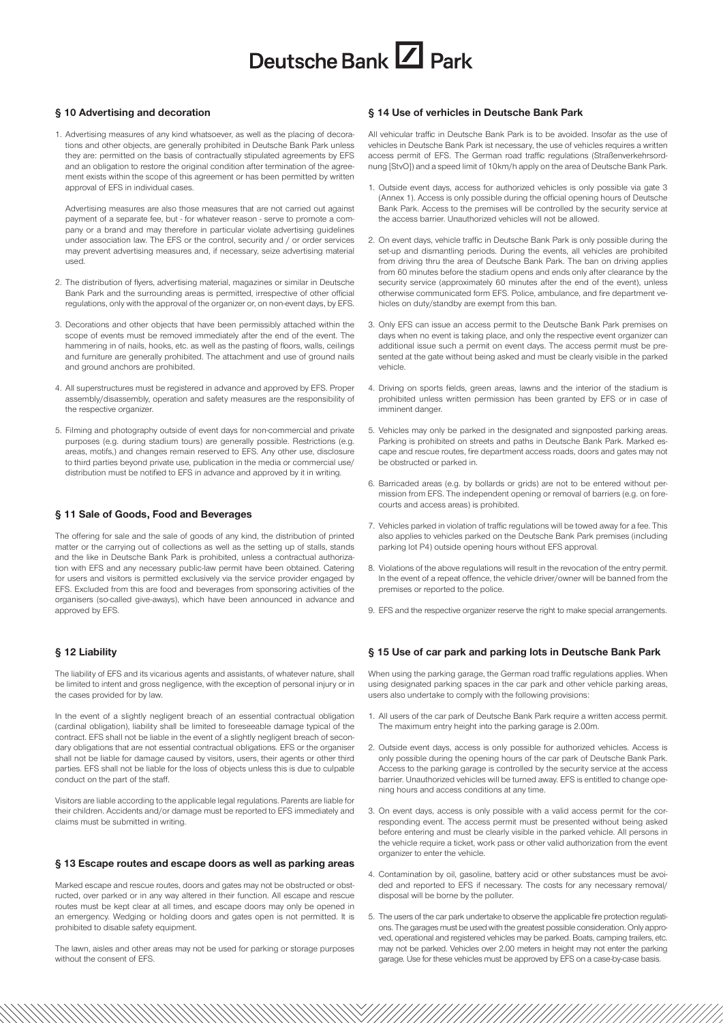## **§ 10 Advertising and decoration**

1. Advertising measures of any kind whatsoever, as well as the placing of decorations and other objects, are generally prohibited in Deutsche Bank Park unless they are: permitted on the basis of contractually stipulated agreements by EFS and an obligation to restore the original condition after termination of the agreement exists within the scope of this agreement or has been permitted by written approval of EFS in individual cases.

Advertising measures are also those measures that are not carried out against payment of a separate fee, but - for whatever reason - serve to promote a company or a brand and may therefore in particular violate advertising guidelines under association law. The EFS or the control, security and / or order services may prevent advertising measures and, if necessary, seize advertising material used.

- 2. The distribution of flyers, advertising material, magazines or similar in Deutsche Bank Park and the surrounding areas is permitted, irrespective of other official regulations, only with the approval of the organizer or, on non-event days, by EFS.
- 3. Decorations and other objects that have been permissibly attached within the scope of events must be removed immediately after the end of the event. The hammering in of nails, hooks, etc. as well as the pasting of floors, walls, ceilings and furniture are generally prohibited. The attachment and use of ground nails and ground anchors are prohibited.
- 4. All superstructures must be registered in advance and approved by EFS. Proper assembly/disassembly, operation and safety measures are the responsibility of the respective organizer.
- 5. Filming and photography outside of event days for non-commercial and private purposes (e.g. during stadium tours) are generally possible. Restrictions (e.g. areas, motifs,) and changes remain reserved to EFS. Any other use, disclosure to third parties beyond private use, publication in the media or commercial use/ distribution must be notified to EFS in advance and approved by it in writing.

### **§ 11 Sale of Goods, Food and Beverages**

The offering for sale and the sale of goods of any kind, the distribution of printed matter or the carrying out of collections as well as the setting up of stalls, stands and the like in Deutsche Bank Park is prohibited, unless a contractual authorization with EFS and any necessary public-law permit have been obtained. Catering for users and visitors is permitted exclusively via the service provider engaged by EFS. Excluded from this are food and beverages from sponsoring activities of the organisers (so-called give-aways), which have been announced in advance and approved by EFS.

#### **§ 12 Liability**

The liability of EFS and its vicarious agents and assistants, of whatever nature, shall be limited to intent and gross negligence, with the exception of personal injury or in the cases provided for by law.

In the event of a slightly negligent breach of an essential contractual obligation (cardinal obligation), liability shall be limited to foreseeable damage typical of the contract. EFS shall not be liable in the event of a slightly negligent breach of secondary obligations that are not essential contractual obligations. EFS or the organiser shall not be liable for damage caused by visitors, users, their agents or other third parties. EFS shall not be liable for the loss of objects unless this is due to culpable conduct on the part of the staff.

Visitors are liable according to the applicable legal regulations. Parents are liable for their children. Accidents and/or damage must be reported to EFS immediately and claims must be submitted in writing.

#### **§ 13 Escape routes and escape doors as well as parking areas**

Marked escape and rescue routes, doors and gates may not be obstructed or obstructed, over parked or in any way altered in their function. All escape and rescue routes must be kept clear at all times, and escape doors may only be opened in an emergency. Wedging or holding doors and gates open is not permitted. It is prohibited to disable safety equipment.

The lawn, aisles and other areas may not be used for parking or storage purposes without the consent of EFS.

### **§ 14 Use of verhicles in Deutsche Bank Park**

All vehicular traffic in Deutsche Bank Park is to be avoided. Insofar as the use of vehicles in Deutsche Bank Park ist necessary, the use of vehicles requires a written access permit of EFS. The German road traffic regulations (Straßenverkehrsordnung [StvO]) and a speed limit of 10km/h apply on the area of Deutsche Bank Park.

- 1. Outside event days, access for authorized vehicles is only possible via gate 3 (Annex 1). Access is only possible during the official opening hours of Deutsche Bank Park. Access to the premises will be controlled by the security service at the access barrier. Unauthorized vehicles will not be allowed.
- 2. On event days, vehicle traffic in Deutsche Bank Park is only possible during the set-up and dismantling periods. During the events, all vehicles are prohibited from driving thru the area of Deutsche Bank Park. The ban on driving applies from 60 minutes before the stadium opens and ends only after clearance by the security service (approximately 60 minutes after the end of the event), unless otherwise communicated form EFS. Police, ambulance, and fire department vehicles on duty/standby are exempt from this ban.
- 3. Only EFS can issue an access permit to the Deutsche Bank Park premises on days when no event is taking place, and only the respective event organizer can additional issue such a permit on event days. The access permit must be presented at the gate without being asked and must be clearly visible in the parked vehicle.
- 4. Driving on sports fields, green areas, lawns and the interior of the stadium is prohibited unless written permission has been granted by EFS or in case of imminent danger.
- 5. Vehicles may only be parked in the designated and signposted parking areas. Parking is prohibited on streets and paths in Deutsche Bank Park. Marked escape and rescue routes, fire department access roads, doors and gates may not be obstructed or parked in.
- 6. Barricaded areas (e.g. by bollards or grids) are not to be entered without permission from EFS. The independent opening or removal of barriers (e.g. on forecourts and access areas) is prohibited.
- 7. Vehicles parked in violation of traffic regulations will be towed away for a fee. This also applies to vehicles parked on the Deutsche Bank Park premises (including parking lot P4) outside opening hours without EFS approval.
- 8. Violations of the above regulations will result in the revocation of the entry permit. In the event of a repeat offence, the vehicle driver/owner will be banned from the premises or reported to the police.
- 9. EFS and the respective organizer reserve the right to make special arrangements.

#### **§ 15 Use of car park and parking lots in Deutsche Bank Park**

When using the parking garage, the German road traffic regulations applies. When using designated parking spaces in the car park and other vehicle parking areas, users also undertake to comply with the following provisions:

- 1. All users of the car park of Deutsche Bank Park require a written access permit. The maximum entry height into the parking garage is 2.00m.
- 2. Outside event days, access is only possible for authorized vehicles. Access is only possible during the opening hours of the car park of Deutsche Bank Park. Access to the parking garage is controlled by the security service at the access barrier. Unauthorized vehicles will be turned away. EFS is entitled to change opening hours and access conditions at any time.
- 3. On event days, access is only possible with a valid access permit for the corresponding event. The access permit must be presented without being asked before entering and must be clearly visible in the parked vehicle. All persons in the vehicle require a ticket, work pass or other valid authorization from the event organizer to enter the vehicle.
- 4. Contamination by oil, gasoline, battery acid or other substances must be avoided and reported to EFS if necessary. The costs for any necessary removal/ disposal will be borne by the polluter.
- 5. The users of the car park undertake to observe the applicable fire protection regulations. The garages must be used with the greatest possible consideration. Only approved, operational and registered vehicles may be parked. Boats, camping trailers, etc. may not be parked. Vehicles over 2.00 meters in height may not enter the parking garage. Use for these vehicles must be approved by EFS on a case-by-case basis.